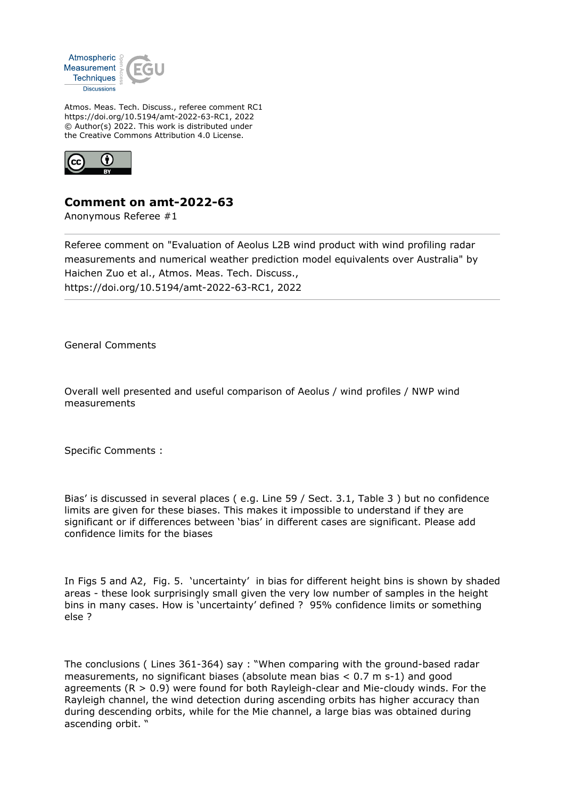

Atmos. Meas. Tech. Discuss., referee comment RC1 https://doi.org/10.5194/amt-2022-63-RC1, 2022 © Author(s) 2022. This work is distributed under the Creative Commons Attribution 4.0 License.



## **Comment on amt-2022-63**

Anonymous Referee #1

Referee comment on "Evaluation of Aeolus L2B wind product with wind profiling radar measurements and numerical weather prediction model equivalents over Australia" by Haichen Zuo et al., Atmos. Meas. Tech. Discuss., https://doi.org/10.5194/amt-2022-63-RC1, 2022

General Comments

Overall well presented and useful comparison of Aeolus / wind profiles / NWP wind measurements

Specific Comments :

Bias' is discussed in several places ( e.g. Line 59 / Sect. 3.1, Table 3 ) but no confidence limits are given for these biases. This makes it impossible to understand if they are significant or if differences between 'bias' in different cases are significant. Please add confidence limits for the biases

In Figs 5 and A2, Fig. 5. 'uncertainty' in bias for different height bins is shown by shaded areas - these look surprisingly small given the very low number of samples in the height bins in many cases. How is 'uncertainty' defined ? 95% confidence limits or something else ?

The conclusions ( Lines 361-364) say : "When comparing with the ground-based radar measurements, no significant biases (absolute mean bias < 0.7 m s-1) and good agreements ( $R > 0.9$ ) were found for both Rayleigh-clear and Mie-cloudy winds. For the Rayleigh channel, the wind detection during ascending orbits has higher accuracy than during descending orbits, while for the Mie channel, a large bias was obtained during ascending orbit. "